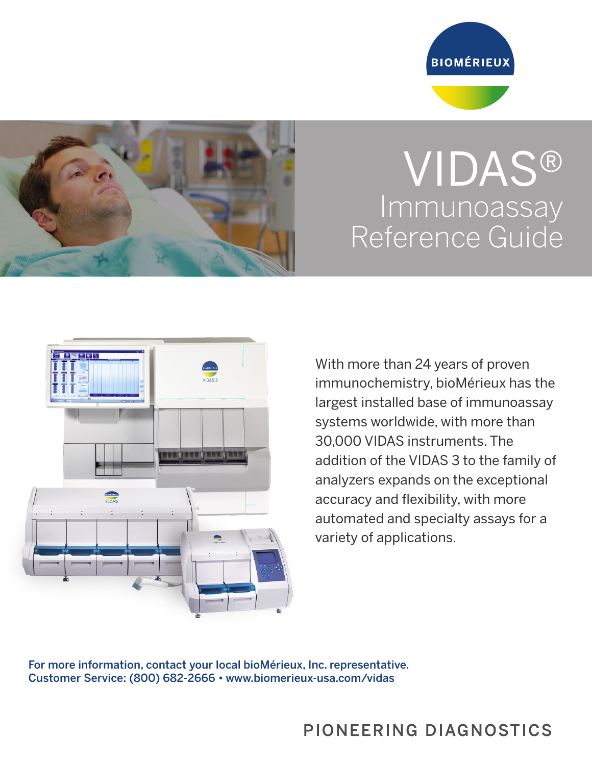



## VIDAS® **Immunoassay** Reference Guide



With more than 24 years of proven immunochemistry, bioMérieux has the largest installed base of immunoassay systems worldwide, with more than 30,000 VIDAS instruments. The addition of the VIDAS 3 to the family of analyzers expands on the exceptional accuracy and flexibility, with more automated and specialty assays for a variety of applications.

For more information, contact your local bioMérieux, Inc. representative. Customer Service: (800) 682-2666 • www.biomerieux-usa.com/vidas

## PIONEERING DIAGNOSTICS